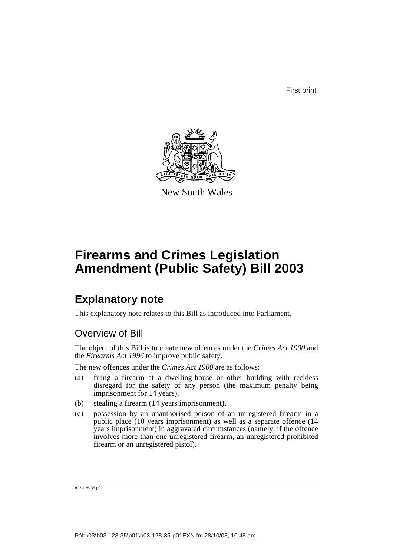First print



New South Wales

# **Firearms and Crimes Legislation Amendment (Public Safety) Bill 2003**

## **Explanatory note**

This explanatory note relates to this Bill as introduced into Parliament.

### Overview of Bill

The object of this Bill is to create new offences under the *Crimes Act 1900* and the *Firearms Act 1996* to improve public safety.

The new offences under the *Crimes Act 1900* are as follows:

- (a) firing a firearm at a dwelling-house or other building with reckless disregard for the safety of any person (the maximum penalty being imprisonment for 14 years),
- (b) stealing a firearm (14 years imprisonment),
- (c) possession by an unauthorised person of an unregistered firearm in a public place (10 years imprisonment) as well as a separate offence (14 years imprisonment) in aggravated circumstances (namely, if the offence involves more than one unregistered firearm, an unregistered prohibited firearm or an unregistered pistol).

b03-128-35.p01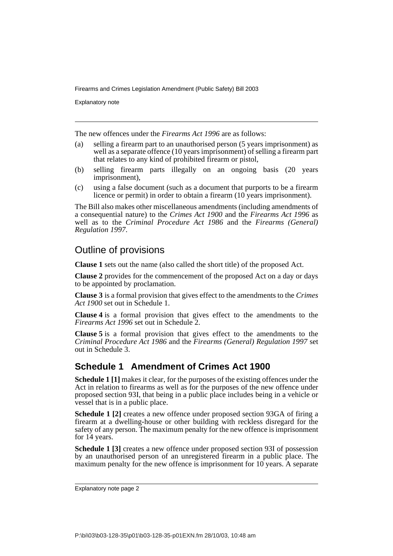Explanatory note

The new offences under the *Firearms Act 1996* are as follows:

- (a) selling a firearm part to an unauthorised person (5 years imprisonment) as well as a separate offence (10 years imprisonment) of selling a firearm part that relates to any kind of prohibited firearm or pistol,
- (b) selling firearm parts illegally on an ongoing basis (20 years imprisonment),
- (c) using a false document (such as a document that purports to be a firearm licence or permit) in order to obtain a firearm (10 years imprisonment).

The Bill also makes other miscellaneous amendments (including amendments of a consequential nature) to the *Crimes Act 1900* and the *Firearms Act 1996* as well as to the *Criminal Procedure Act 1986* and the *Firearms (General) Regulation 1997*.

### Outline of provisions

**Clause 1** sets out the name (also called the short title) of the proposed Act.

**Clause 2** provides for the commencement of the proposed Act on a day or days to be appointed by proclamation.

**Clause 3** is a formal provision that gives effect to the amendments to the *Crimes Act 1900* set out in Schedule 1.

**Clause 4** is a formal provision that gives effect to the amendments to the *Firearms Act 1996* set out in Schedule 2.

**Clause 5** is a formal provision that gives effect to the amendments to the *Criminal Procedure Act 1986* and the *Firearms (General) Regulation 1997* set out in Schedule 3.

### **Schedule 1 Amendment of Crimes Act 1900**

**Schedule 1** [1] makes it clear, for the purposes of the existing offences under the Act in relation to firearms as well as for the purposes of the new offence under proposed section 93I, that being in a public place includes being in a vehicle or vessel that is in a public place.

**Schedule 1 [2]** creates a new offence under proposed section 93GA of firing a firearm at a dwelling-house or other building with reckless disregard for the safety of any person. The maximum penalty for the new offence is imprisonment for 14 years.

**Schedule 1 [3]** creates a new offence under proposed section 93I of possession by an unauthorised person of an unregistered firearm in a public place. The maximum penalty for the new offence is imprisonment for 10 years. A separate

Explanatory note page 2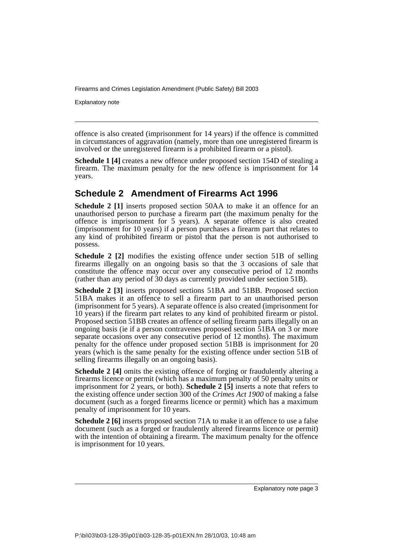Explanatory note

offence is also created (imprisonment for 14 years) if the offence is committed in circumstances of aggravation (namely, more than one unregistered firearm is involved or the unregistered firearm is a prohibited firearm or a pistol).

**Schedule 1 [4]** creates a new offence under proposed section 154D of stealing a firearm. The maximum penalty for the new offence is imprisonment for 14 years.

### **Schedule 2 Amendment of Firearms Act 1996**

**Schedule 2 [1]** inserts proposed section 50AA to make it an offence for an unauthorised person to purchase a firearm part (the maximum penalty for the offence is imprisonment for 5 years). A separate offence is also created (imprisonment for 10 years) if a person purchases a firearm part that relates to any kind of prohibited firearm or pistol that the person is not authorised to possess.

**Schedule 2** [2] modifies the existing offence under section 51B of selling firearms illegally on an ongoing basis so that the 3 occasions of sale that constitute the offence may occur over any consecutive period of 12 months (rather than any period of 30 days as currently provided under section 51B).

**Schedule 2 [3]** inserts proposed sections 51BA and 51BB. Proposed section 51BA makes it an offence to sell a firearm part to an unauthorised person (imprisonment for 5 years). A separate offence is also created (imprisonment for 10 years) if the firearm part relates to any kind of prohibited firearm or pistol. Proposed section 51BB creates an offence of selling firearm parts illegally on an ongoing basis (ie if a person contravenes proposed section 51BA on 3 or more separate occasions over any consecutive period of 12 months). The maximum penalty for the offence under proposed section 51BB is imprisonment for 20 years (which is the same penalty for the existing offence under section 51B of selling firearms illegally on an ongoing basis).

**Schedule 2 [4]** omits the existing offence of forging or fraudulently altering a firearms licence or permit (which has a maximum penalty of 50 penalty units or imprisonment for 2 years, or both). **Schedule 2 [5]** inserts a note that refers to the existing offence under section 300 of the *Crimes Act 1900* of making a false document (such as a forged firearms licence or permit) which has a maximum penalty of imprisonment for 10 years.

**Schedule 2 [6]** inserts proposed section 71A to make it an offence to use a false document (such as a forged or fraudulently altered firearms licence or permit) with the intention of obtaining a firearm. The maximum penalty for the offence is imprisonment for 10 years.

Explanatory note page 3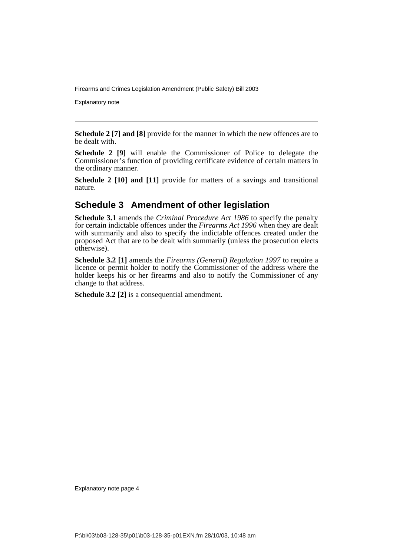Explanatory note

**Schedule 2 [7] and [8]** provide for the manner in which the new offences are to be dealt with.

**Schedule 2 [9]** will enable the Commissioner of Police to delegate the Commissioner's function of providing certificate evidence of certain matters in the ordinary manner.

**Schedule 2 [10] and [11]** provide for matters of a savings and transitional nature.

### **Schedule 3 Amendment of other legislation**

**Schedule 3.1** amends the *Criminal Procedure Act 1986* to specify the penalty for certain indictable offences under the *Firearms Act 1996* when they are dealt with summarily and also to specify the indictable offences created under the proposed Act that are to be dealt with summarily (unless the prosecution elects otherwise).

**Schedule 3.2 [1]** amends the *Firearms (General) Regulation 1997* to require a licence or permit holder to notify the Commissioner of the address where the holder keeps his or her firearms and also to notify the Commissioner of any change to that address.

**Schedule 3.2 [2]** is a consequential amendment.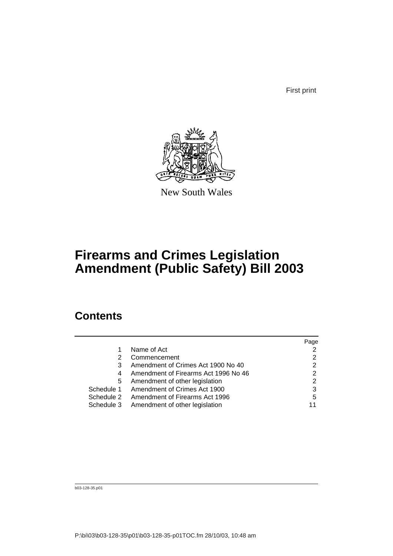First print



New South Wales

# **Firearms and Crimes Legislation Amendment (Public Safety) Bill 2003**

### **Contents**

|            |                                      | Page |
|------------|--------------------------------------|------|
|            | Name of Act                          |      |
| 2          | Commencement                         |      |
| 3          | Amendment of Crimes Act 1900 No 40   | 2    |
| 4          | Amendment of Firearms Act 1996 No 46 | 2    |
| 5          | Amendment of other legislation       | 2    |
| Schedule 1 | Amendment of Crimes Act 1900         | 3    |
| Schedule 2 | Amendment of Firearms Act 1996       | 5    |
| Schedule 3 | Amendment of other legislation       |      |

b03-128-35.p01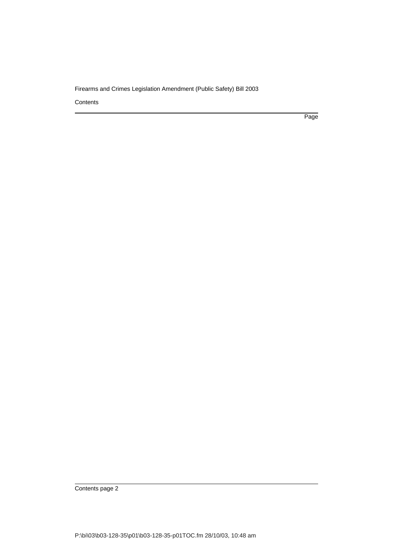**Contents** 

Page

Contents page 2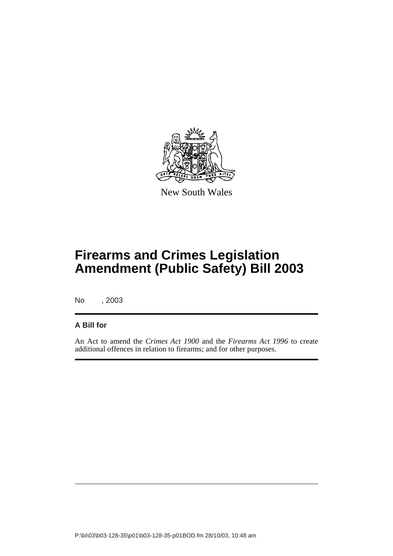

New South Wales

# **Firearms and Crimes Legislation Amendment (Public Safety) Bill 2003**

No , 2003

#### **A Bill for**

An Act to amend the *Crimes Act 1900* and the *Firearms Act 1996* to create additional offences in relation to firearms; and for other purposes.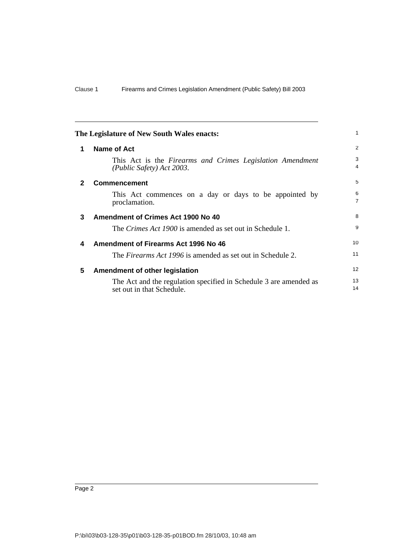<span id="page-7-4"></span><span id="page-7-3"></span><span id="page-7-2"></span><span id="page-7-1"></span><span id="page-7-0"></span>

| The Legislature of New South Wales enacts: |                                                                                                |                     |
|--------------------------------------------|------------------------------------------------------------------------------------------------|---------------------|
| 1                                          | Name of Act                                                                                    | 2                   |
|                                            | This Act is the Firearms and Crimes Legislation Amendment<br>(Public Safety) Act 2003.         | 3<br>4              |
| $\mathbf{2}$                               | <b>Commencement</b>                                                                            | 5                   |
|                                            | This Act commences on a day or days to be appointed by<br>proclamation.                        | 6<br>$\overline{7}$ |
| 3                                          | Amendment of Crimes Act 1900 No 40                                                             | 8                   |
|                                            | The <i>Crimes Act 1900</i> is amended as set out in Schedule 1.                                | 9                   |
| 4                                          | Amendment of Firearms Act 1996 No 46                                                           | 10 <sup>1</sup>     |
|                                            | The Firearms Act 1996 is amended as set out in Schedule 2.                                     | 11                  |
| 5                                          | Amendment of other legislation                                                                 | 12                  |
|                                            | The Act and the regulation specified in Schedule 3 are amended as<br>set out in that Schedule. | 13<br>14            |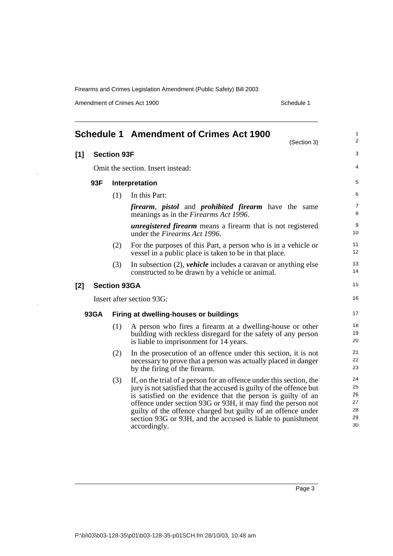Amendment of Crimes Act 1900 Schedule 1

J.

<span id="page-8-0"></span>

|       |                           |                     | <b>Schedule 1 Amendment of Crimes Act 1900</b><br>(Section 3)                                                                                                                                                                                                                                                                                                                                                             | $\mathbf{1}$<br>2                      |
|-------|---------------------------|---------------------|---------------------------------------------------------------------------------------------------------------------------------------------------------------------------------------------------------------------------------------------------------------------------------------------------------------------------------------------------------------------------------------------------------------------------|----------------------------------------|
| $[1]$ |                           | <b>Section 93F</b>  |                                                                                                                                                                                                                                                                                                                                                                                                                           | 3                                      |
|       |                           |                     | Omit the section. Insert instead:                                                                                                                                                                                                                                                                                                                                                                                         | 4                                      |
|       | 93F                       |                     | Interpretation                                                                                                                                                                                                                                                                                                                                                                                                            | 5                                      |
|       |                           | (1)                 | In this Part:                                                                                                                                                                                                                                                                                                                                                                                                             | 6                                      |
|       |                           |                     | <i>firearm, pistol</i> and <i>prohibited firearm</i> have the same<br>meanings as in the Firearms Act 1996.                                                                                                                                                                                                                                                                                                               | $\overline{7}$<br>8                    |
|       |                           |                     | <i>unregistered firearm</i> means a firearm that is not registered<br>under the <i>Firearms Act 1996</i> .                                                                                                                                                                                                                                                                                                                | 9<br>10 <sup>10</sup>                  |
|       |                           | (2)                 | For the purposes of this Part, a person who is in a vehicle or<br>vessel in a public place is taken to be in that place.                                                                                                                                                                                                                                                                                                  | 11<br>12                               |
|       |                           | (3)                 | In subsection $(2)$ , <i>vehicle</i> includes a caravan or anything else<br>constructed to be drawn by a vehicle or animal.                                                                                                                                                                                                                                                                                               | 13<br>14                               |
| $[2]$ |                           | <b>Section 93GA</b> |                                                                                                                                                                                                                                                                                                                                                                                                                           | 15                                     |
|       | Insert after section 93G: |                     |                                                                                                                                                                                                                                                                                                                                                                                                                           |                                        |
|       | 93GA                      |                     | Firing at dwelling-houses or buildings                                                                                                                                                                                                                                                                                                                                                                                    | 17                                     |
|       |                           | (1)                 | A person who fires a firearm at a dwelling-house or other<br>building with reckless disregard for the safety of any person<br>is liable to imprisonment for 14 years.                                                                                                                                                                                                                                                     | 18<br>19<br>20                         |
|       |                           | (2)                 | In the prosecution of an offence under this section, it is not<br>necessary to prove that a person was actually placed in danger<br>by the firing of the firearm.                                                                                                                                                                                                                                                         | 21<br>22<br>23                         |
|       |                           | (3)                 | If, on the trial of a person for an offence under this section, the<br>jury is not satisfied that the accused is guilty of the offence but<br>is satisfied on the evidence that the person is guilty of an<br>offence under section 93G or 93H, it may find the person not<br>guilty of the offence charged but guilty of an offence under<br>section 93G or 93H, and the accused is liable to punishment<br>accordingly. | 24<br>25<br>26<br>27<br>28<br>29<br>30 |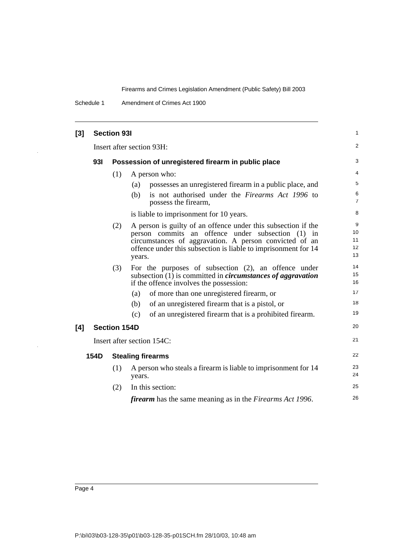Schedule 1 Amendment of Crimes Act 1900

| $[3]$                            | <b>Section 931</b> |                           |                                                                                                                                                                                                                                                          | 1                         |  |  |
|----------------------------------|--------------------|---------------------------|----------------------------------------------------------------------------------------------------------------------------------------------------------------------------------------------------------------------------------------------------------|---------------------------|--|--|
|                                  |                    | Insert after section 93H: |                                                                                                                                                                                                                                                          |                           |  |  |
|                                  | 931                |                           | Possession of unregistered firearm in public place                                                                                                                                                                                                       | 3                         |  |  |
|                                  |                    | (1)                       | A person who:                                                                                                                                                                                                                                            | 4                         |  |  |
|                                  |                    |                           | possesses an unregistered firearm in a public place, and<br>(a)                                                                                                                                                                                          | 5                         |  |  |
|                                  |                    |                           | is not authorised under the Firearms Act 1996 to<br>(b)<br>possess the firearm,                                                                                                                                                                          | 6<br>$\overline{7}$       |  |  |
|                                  |                    |                           | is liable to imprisonment for 10 years.                                                                                                                                                                                                                  | 8                         |  |  |
|                                  |                    | (2)                       | A person is guilty of an offence under this subsection if the<br>person commits an offence under subsection (1) in<br>circumstances of aggravation. A person convicted of an<br>offence under this subsection is liable to imprisonment for 14<br>years. | 9<br>10<br>11<br>12<br>13 |  |  |
|                                  |                    | (3)                       | For the purposes of subsection $(2)$ , an offence under<br>subsection $(1)$ is committed in <i>circumstances of aggravation</i><br>if the offence involves the possession:                                                                               | 14<br>15<br>16            |  |  |
|                                  |                    |                           | of more than one unregistered firearm, or<br>(a)                                                                                                                                                                                                         | 17                        |  |  |
|                                  |                    |                           | of an unregistered firearm that is a pistol, or<br>(b)                                                                                                                                                                                                   | 18                        |  |  |
|                                  |                    |                           | of an unregistered firearm that is a prohibited firearm.<br>(c)                                                                                                                                                                                          | 19                        |  |  |
| [4]                              |                    | <b>Section 154D</b>       |                                                                                                                                                                                                                                                          | 20                        |  |  |
|                                  |                    |                           | Insert after section 154C:                                                                                                                                                                                                                               | 21                        |  |  |
| 154D<br><b>Stealing firearms</b> |                    |                           |                                                                                                                                                                                                                                                          | 22                        |  |  |
|                                  |                    | (1)                       | A person who steals a firearm is liable to imprisonment for 14<br>years.                                                                                                                                                                                 | 23<br>24                  |  |  |
|                                  |                    | (2)                       | In this section:                                                                                                                                                                                                                                         | 25                        |  |  |
|                                  |                    |                           | <i>firearm</i> has the same meaning as in the <i>Firearms Act 1996</i> .                                                                                                                                                                                 | 26                        |  |  |
|                                  |                    |                           |                                                                                                                                                                                                                                                          |                           |  |  |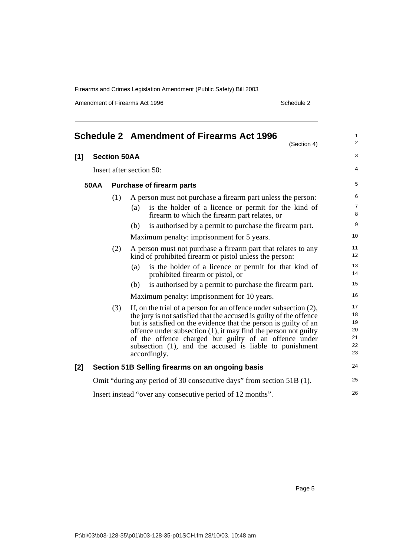Amendment of Firearms Act 1996 Schedule 2

l,

<span id="page-10-0"></span>

|       |                     |     | <b>Schedule 2 Amendment of Firearms Act 1996</b><br>(Section 4)                                                                                                                                                                                                                                                                                                                                                           | $\mathbf{1}$<br>$\overline{2}$         |
|-------|---------------------|-----|---------------------------------------------------------------------------------------------------------------------------------------------------------------------------------------------------------------------------------------------------------------------------------------------------------------------------------------------------------------------------------------------------------------------------|----------------------------------------|
| [1]   | <b>Section 50AA</b> |     |                                                                                                                                                                                                                                                                                                                                                                                                                           | 3                                      |
|       |                     |     | Insert after section 50:                                                                                                                                                                                                                                                                                                                                                                                                  | 4                                      |
|       | <b>50AA</b>         |     | <b>Purchase of firearm parts</b>                                                                                                                                                                                                                                                                                                                                                                                          | 5                                      |
|       |                     | (1) | A person must not purchase a firearm part unless the person:                                                                                                                                                                                                                                                                                                                                                              | 6                                      |
|       |                     |     | is the holder of a licence or permit for the kind of<br>(a)<br>firearm to which the firearm part relates, or                                                                                                                                                                                                                                                                                                              | $\overline{7}$<br>8                    |
|       |                     |     | is authorised by a permit to purchase the firearm part.<br>(b)                                                                                                                                                                                                                                                                                                                                                            | 9                                      |
|       |                     |     | Maximum penalty: imprisonment for 5 years.                                                                                                                                                                                                                                                                                                                                                                                | 10                                     |
| (2)   |                     |     | A person must not purchase a firearm part that relates to any<br>kind of prohibited firearm or pistol unless the person:                                                                                                                                                                                                                                                                                                  | 11<br>12                               |
|       |                     |     | is the holder of a licence or permit for that kind of<br>(a)<br>prohibited firearm or pistol, or                                                                                                                                                                                                                                                                                                                          | 13<br>14                               |
|       |                     |     | is authorised by a permit to purchase the firearm part.<br>(b)                                                                                                                                                                                                                                                                                                                                                            | 15                                     |
|       |                     |     | Maximum penalty: imprisonment for 10 years.                                                                                                                                                                                                                                                                                                                                                                               | 16                                     |
|       |                     | (3) | If, on the trial of a person for an offence under subsection $(2)$ ,<br>the jury is not satisfied that the accused is guilty of the offence<br>but is satisfied on the evidence that the person is guilty of an<br>offence under subsection $(1)$ , it may find the person not guilty<br>of the offence charged but guilty of an offence under<br>subsection (1), and the accused is liable to punishment<br>accordingly. | 17<br>18<br>19<br>20<br>21<br>22<br>23 |
| $[2]$ |                     |     | Section 51B Selling firearms on an ongoing basis                                                                                                                                                                                                                                                                                                                                                                          | 24                                     |
|       |                     |     | Omit "during any period of 30 consecutive days" from section 51B (1).                                                                                                                                                                                                                                                                                                                                                     | 25                                     |
|       |                     |     | Insert instead "over any consecutive period of 12 months".                                                                                                                                                                                                                                                                                                                                                                | 26                                     |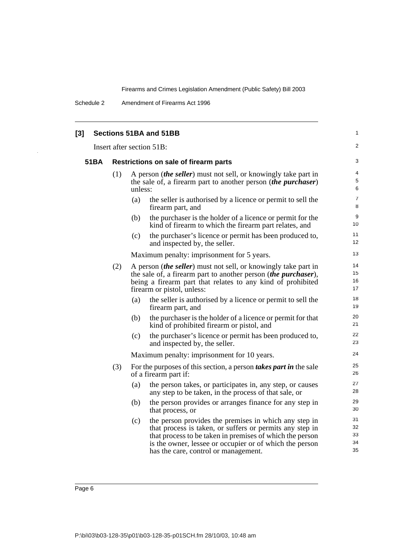| $[3]$ |                                                      |     | Sections 51BA and 51BB                                                                                                                                                                                                                                                                  | 1                          |
|-------|------------------------------------------------------|-----|-----------------------------------------------------------------------------------------------------------------------------------------------------------------------------------------------------------------------------------------------------------------------------------------|----------------------------|
|       | Insert after section 51B:                            |     |                                                                                                                                                                                                                                                                                         |                            |
|       | <b>51BA</b><br>Restrictions on sale of firearm parts |     |                                                                                                                                                                                                                                                                                         | 3                          |
|       |                                                      | (1) | A person <i>(the seller)</i> must not sell, or knowingly take part in<br>the sale of, a firearm part to another person <i>(the purchaser)</i><br>unless:                                                                                                                                | 4<br>5<br>6                |
|       |                                                      |     | (a)<br>the seller is authorised by a licence or permit to sell the<br>firearm part, and                                                                                                                                                                                                 | $\overline{7}$<br>8        |
|       |                                                      |     | the purchaser is the holder of a licence or permit for the<br>(b)<br>kind of firearm to which the firearm part relates, and                                                                                                                                                             | 9<br>10                    |
|       |                                                      |     | the purchaser's licence or permit has been produced to,<br>(c)<br>and inspected by, the seller.                                                                                                                                                                                         | 11<br>12                   |
|       |                                                      |     | Maximum penalty: imprisonment for 5 years.                                                                                                                                                                                                                                              | 13                         |
|       |                                                      | (2) | A person <i>(the seller)</i> must not sell, or knowingly take part in<br>the sale of, a firearm part to another person <i>(the purchaser)</i> ,<br>being a firearm part that relates to any kind of prohibited<br>firearm or pistol, unless:                                            | 14<br>15<br>16<br>17       |
|       |                                                      |     | the seller is authorised by a licence or permit to sell the<br>(a)<br>firearm part, and                                                                                                                                                                                                 | 18<br>19                   |
|       |                                                      |     | the purchaser is the holder of a licence or permit for that<br>(b)<br>kind of prohibited firearm or pistol, and                                                                                                                                                                         | 20<br>21                   |
|       |                                                      |     | the purchaser's licence or permit has been produced to,<br>(c)<br>and inspected by, the seller.                                                                                                                                                                                         | 22<br>23                   |
|       |                                                      |     | Maximum penalty: imprisonment for 10 years.                                                                                                                                                                                                                                             | 24                         |
|       |                                                      | (3) | For the purposes of this section, a person <i>takes part in</i> the sale<br>of a firearm part if:                                                                                                                                                                                       | 25<br>26                   |
|       |                                                      |     | (a)<br>the person takes, or participates in, any step, or causes<br>any step to be taken, in the process of that sale, or                                                                                                                                                               | 27<br>28                   |
|       |                                                      |     | (b)<br>the person provides or arranges finance for any step in<br>that process, or                                                                                                                                                                                                      | 29<br>30                   |
|       |                                                      |     | the person provides the premises in which any step in<br>(c)<br>that process is taken, or suffers or permits any step in<br>that process to be taken in premises of which the person<br>is the owner, lessee or occupier or of which the person<br>has the care, control or management. | 31<br>32<br>33<br>34<br>35 |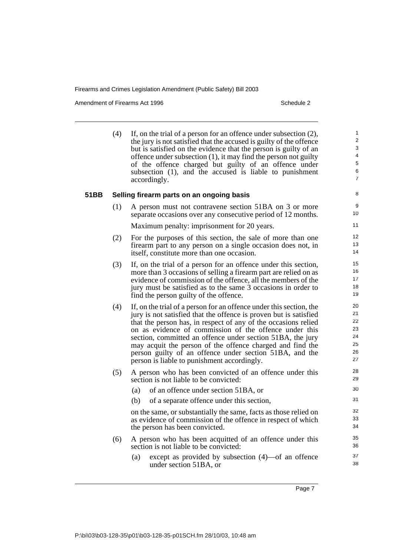Amendment of Firearms Act 1996 Schedule 2

(4) If, on the trial of a person for an offence under subsection (2), the jury is not satisfied that the accused is guilty of the offence but is satisfied on the evidence that the person is guilty of an offence under subsection (1), it may find the person not guilty of the offence charged but guilty of an offence under subsection (1), and the accused is liable to punishment accordingly. **51BB Selling firearm parts on an ongoing basis** (1) A person must not contravene section 51BA on 3 or more separate occasions over any consecutive period of 12 months. Maximum penalty: imprisonment for 20 years. (2) For the purposes of this section, the sale of more than one firearm part to any person on a single occasion does not, in itself, constitute more than one occasion. (3) If, on the trial of a person for an offence under this section, more than 3 occasions of selling a firearm part are relied on as evidence of commission of the offence, all the members of the jury must be satisfied as to the same 3 occasions in order to find the person guilty of the offence. (4) If, on the trial of a person for an offence under this section, the jury is not satisfied that the offence is proven but is satisfied that the person has, in respect of any of the occasions relied on as evidence of commission of the offence under this section, committed an offence under section 51BA, the jury may acquit the person of the offence charged and find the person guilty of an offence under section 51BA, and the person is liable to punishment accordingly. (5) A person who has been convicted of an offence under this section is not liable to be convicted: (a) of an offence under section 51BA, or (b) of a separate offence under this section, on the same, or substantially the same, facts as those relied on as evidence of commission of the offence in respect of which the person has been convicted. (6) A person who has been acquitted of an offence under this section is not liable to be convicted: (a) except as provided by subsection (4)—of an offence under section 51BA, or 1  $\overline{2}$ 3 4 5 6 7 8 9 10 11 12 13 14 15 16 17 18 19  $20$ 21 22 23 24 25 26 27 28 29 30 31 32 33 34 35 36 37 38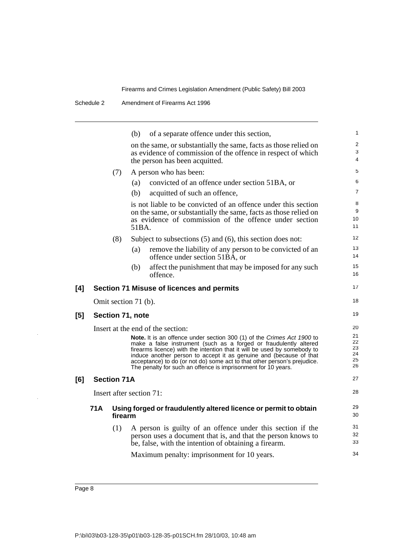|     |     |                    | of a separate offence under this section,<br>(b)                                                                                                                                                                                                                                                                                                                                                                                           | $\mathbf{1}$                     |
|-----|-----|--------------------|--------------------------------------------------------------------------------------------------------------------------------------------------------------------------------------------------------------------------------------------------------------------------------------------------------------------------------------------------------------------------------------------------------------------------------------------|----------------------------------|
|     |     |                    | on the same, or substantially the same, facts as those relied on<br>as evidence of commission of the offence in respect of which<br>the person has been acquitted.                                                                                                                                                                                                                                                                         | $\overline{2}$<br>3<br>4         |
|     |     | (7)                | A person who has been:                                                                                                                                                                                                                                                                                                                                                                                                                     | 5                                |
|     |     |                    | convicted of an offence under section 51BA, or<br>(a)                                                                                                                                                                                                                                                                                                                                                                                      | 6                                |
|     |     |                    | acquitted of such an offence,<br>(b)                                                                                                                                                                                                                                                                                                                                                                                                       | $\overline{7}$                   |
|     |     |                    | is not liable to be convicted of an offence under this section<br>on the same, or substantially the same, facts as those relied on<br>as evidence of commission of the offence under section<br>51BA.                                                                                                                                                                                                                                      | 8<br>9<br>10<br>11               |
|     |     | (8)                | Subject to subsections $(5)$ and $(6)$ , this section does not:                                                                                                                                                                                                                                                                                                                                                                            | 12                               |
|     |     |                    | remove the liability of any person to be convicted of an<br>(a)<br>offence under section 51BA, or                                                                                                                                                                                                                                                                                                                                          | 13<br>14                         |
|     |     |                    | affect the punishment that may be imposed for any such<br>(b)<br>offence.                                                                                                                                                                                                                                                                                                                                                                  | 15<br>16                         |
| [4] |     |                    | Section 71 Misuse of licences and permits                                                                                                                                                                                                                                                                                                                                                                                                  | 17                               |
|     |     |                    | Omit section 71 (b).                                                                                                                                                                                                                                                                                                                                                                                                                       | 18                               |
| [5] |     |                    | Section 71, note                                                                                                                                                                                                                                                                                                                                                                                                                           | 19                               |
|     |     |                    | Insert at the end of the section:                                                                                                                                                                                                                                                                                                                                                                                                          | 20                               |
|     |     |                    | Note. It is an offence under section 300 (1) of the Crimes Act 1900 to<br>make a false instrument (such as a forged or fraudulently altered<br>firearms licence) with the intention that it will be used by somebody to<br>induce another person to accept it as genuine and (because of that<br>acceptance) to do (or not do) some act to that other person's prejudice.<br>The penalty for such an offence is imprisonment for 10 years. | 21<br>22<br>23<br>24<br>25<br>26 |
| [6] |     | <b>Section 71A</b> |                                                                                                                                                                                                                                                                                                                                                                                                                                            | 27                               |
|     |     |                    | Insert after section 71:                                                                                                                                                                                                                                                                                                                                                                                                                   | 28                               |
|     | 71A | firearm            | Using forged or fraudulently altered licence or permit to obtain                                                                                                                                                                                                                                                                                                                                                                           | 29<br>30                         |
|     |     | (1)                | A person is guilty of an offence under this section if the<br>person uses a document that is, and that the person knows to<br>be, false, with the intention of obtaining a firearm.                                                                                                                                                                                                                                                        | 31<br>32<br>33                   |
|     |     |                    | Maximum penalty: imprisonment for 10 years.                                                                                                                                                                                                                                                                                                                                                                                                | 34                               |

Page 8

 $[5]$ 

**[6]**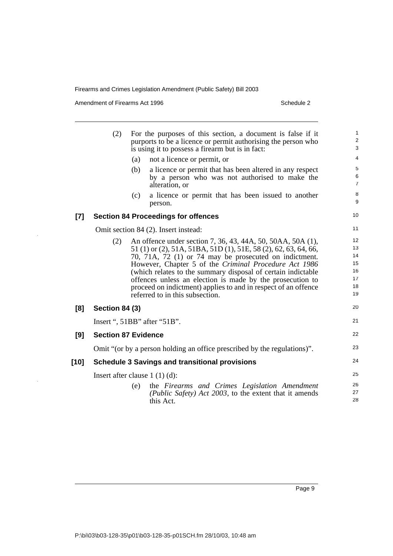Amendment of Firearms Act 1996 Schedule 2

i.

 $\ddot{\phantom{a}}$ 

|       | (2)                             | (a)<br>(b)<br>(c) | For the purposes of this section, a document is false if it<br>purports to be a licence or permit authorising the person who<br>is using it to possess a firearm but is in fact:<br>not a licence or permit, or<br>a licence or permit that has been altered in any respect<br>by a person who was not authorised to make the<br>alteration, or<br>a licence or permit that has been issued to another<br>person.                                                                   | 1<br>$\overline{\mathbf{c}}$<br>3<br>4<br>5<br>6<br>7<br>8<br>9 |
|-------|---------------------------------|-------------------|-------------------------------------------------------------------------------------------------------------------------------------------------------------------------------------------------------------------------------------------------------------------------------------------------------------------------------------------------------------------------------------------------------------------------------------------------------------------------------------|-----------------------------------------------------------------|
| $[7]$ |                                 |                   | <b>Section 84 Proceedings for offences</b>                                                                                                                                                                                                                                                                                                                                                                                                                                          | 10                                                              |
|       |                                 |                   | Omit section 84 (2). Insert instead:                                                                                                                                                                                                                                                                                                                                                                                                                                                | 11                                                              |
|       | (2)                             |                   | An offence under section 7, 36, 43, 44A, 50, 50AA, 50A (1),<br>51 (1) or (2), 51A, 51BA, 51D (1), 51E, 58 (2), 62, 63, 64, 66,<br>70, 71A, 72 (1) or 74 may be prosecuted on indictment.<br>However, Chapter 5 of the Criminal Procedure Act 1986<br>(which relates to the summary disposal of certain indictable<br>offences unless an election is made by the prosecution to<br>proceed on indictment) applies to and in respect of an offence<br>referred to in this subsection. | 12<br>13<br>14<br>15<br>16<br>17<br>18<br>19                    |
| [8]   | <b>Section 84 (3)</b>           |                   |                                                                                                                                                                                                                                                                                                                                                                                                                                                                                     | 20                                                              |
|       | Insert ", 51BB" after "51B".    |                   |                                                                                                                                                                                                                                                                                                                                                                                                                                                                                     | 21                                                              |
| [9]   | <b>Section 87 Evidence</b>      |                   |                                                                                                                                                                                                                                                                                                                                                                                                                                                                                     | 22                                                              |
|       |                                 |                   | Omit "(or by a person holding an office prescribed by the regulations)".                                                                                                                                                                                                                                                                                                                                                                                                            | 23                                                              |
| [10]  |                                 |                   | <b>Schedule 3 Savings and transitional provisions</b>                                                                                                                                                                                                                                                                                                                                                                                                                               | 24                                                              |
|       | Insert after clause $1(1)(d)$ : | (e)               | the Firearms and Crimes Legislation Amendment<br>( <i>Public Safety</i> ) Act 2003, to the extent that it amends<br>this Act.                                                                                                                                                                                                                                                                                                                                                       | 25<br>26<br>27<br>28                                            |
|       |                                 |                   |                                                                                                                                                                                                                                                                                                                                                                                                                                                                                     |                                                                 |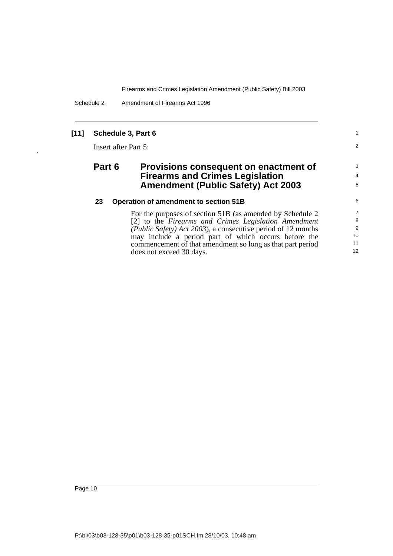Schedule 2 Amendment of Firearms Act 1996

#### **[11] Schedule 3, Part 6** Insert after Part 5: **Part 6 Provisions consequent on enactment of Firearms and Crimes Legislation Amendment (Public Safety) Act 2003 23 Operation of amendment to section 51B** For the purposes of section 51B (as amended by Schedule 2 [2] to the *Firearms and Crimes Legislation Amendment (Public Safety) Act 2003*), a consecutive period of 12 months may include a period part of which occurs before the commencement of that amendment so long as that part period 1 2 3 4 5 6 7 8 9 10 11

12

does not exceed 30 days.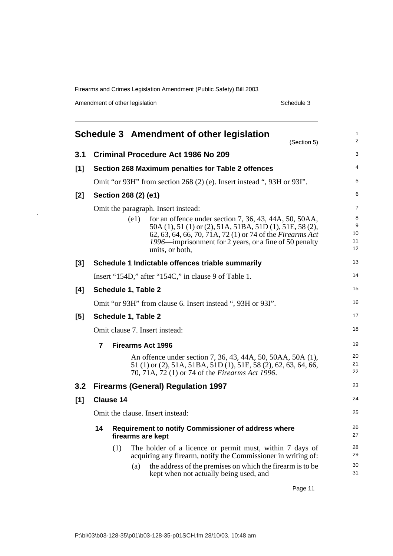Amendment of other legislation Schedule 3

<span id="page-16-0"></span>

|       |    | Schedule 3 Amendment of other legislation<br>(Section 5)                                                                                                                                                                                                               | $\mathbf{1}$<br>$\sqrt{2}$ |
|-------|----|------------------------------------------------------------------------------------------------------------------------------------------------------------------------------------------------------------------------------------------------------------------------|----------------------------|
| 3.1   |    | Criminal Procedure Act 1986 No 209                                                                                                                                                                                                                                     | 3                          |
| [1]   |    | Section 268 Maximum penalties for Table 2 offences                                                                                                                                                                                                                     | 4                          |
|       |    | Omit "or 93H" from section 268 (2) (e). Insert instead ", 93H or 93I".                                                                                                                                                                                                 | 5                          |
| $[2]$ |    | Section 268 (2) (e1)                                                                                                                                                                                                                                                   | 6                          |
|       |    | Omit the paragraph. Insert instead:                                                                                                                                                                                                                                    | $\overline{7}$             |
|       |    | (e1)<br>for an offence under section $7, 36, 43, 44A, 50, 50AA$ ,<br>50A (1), 51 (1) or (2), 51A, 51BA, 51D (1), 51E, 58 (2),<br>62, 63, 64, 66, 70, 71A, 72(1) or 74 of the Firearms Act<br>1996—imprisonment for 2 years, or a fine of 50 penalty<br>units, or both, | 8<br>9<br>10<br>11<br>12   |
| $[3]$ |    | Schedule 1 Indictable offences triable summarily                                                                                                                                                                                                                       | 13                         |
|       |    | Insert "154D," after "154C," in clause 9 of Table 1.                                                                                                                                                                                                                   | 14                         |
| [4]   |    | Schedule 1, Table 2                                                                                                                                                                                                                                                    | 15                         |
|       |    | Omit "or 93H" from clause 6. Insert instead ", 93H or 93I".                                                                                                                                                                                                            | 16                         |
| [5]   |    | Schedule 1, Table 2                                                                                                                                                                                                                                                    | 17                         |
|       |    | Omit clause 7. Insert instead:                                                                                                                                                                                                                                         | 18                         |
|       | 7  | <b>Firearms Act 1996</b>                                                                                                                                                                                                                                               | 19                         |
|       |    | An offence under section 7, 36, 43, 44A, 50, 50AA, 50A (1),<br>51 (1) or (2), 51A, 51BA, 51D (1), 51E, 58 (2), 62, 63, 64, 66,<br>70, 71A, 72 (1) or 74 of the Firearms Act 1996.                                                                                      | 20<br>21<br>22             |
| 3.2   |    | <b>Firearms (General) Regulation 1997</b>                                                                                                                                                                                                                              | 23                         |
| [1]   |    | <b>Clause 14</b>                                                                                                                                                                                                                                                       | 24                         |
|       |    | Omit the clause. Insert instead:                                                                                                                                                                                                                                       | 25                         |
|       | 14 | Requirement to notify Commissioner of address where<br>firearms are kept                                                                                                                                                                                               | 26<br>27                   |
|       |    | (1)<br>The holder of a licence or permit must, within 7 days of<br>acquiring any firearm, notify the Commissioner in writing of:<br>the address of the premises on which the firearm is to be<br>(a)<br>kept when not actually being used, and                         | 28<br>29<br>30<br>31       |